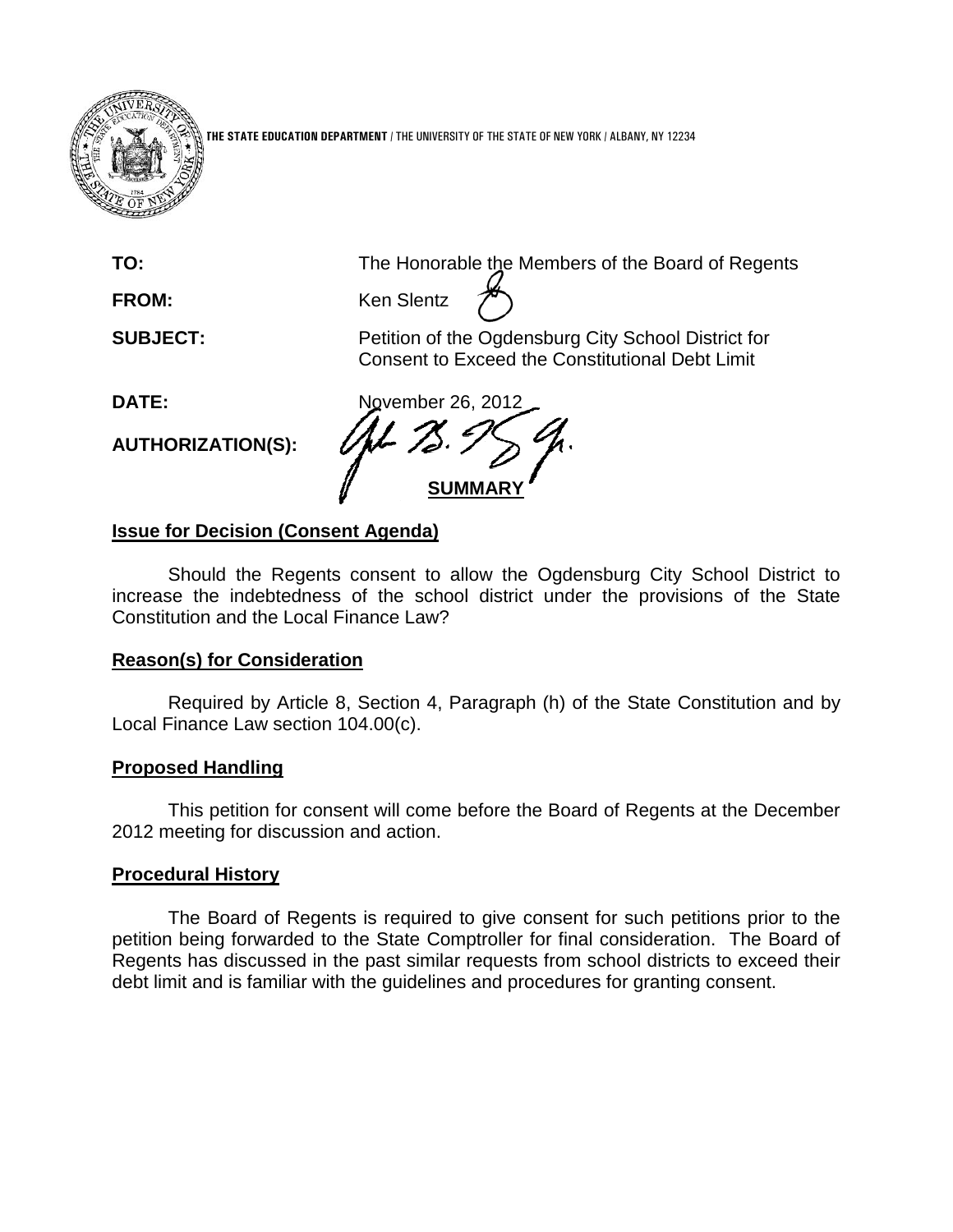

**THE STATE EDUCATION DEPARTMENT** / THE UNIVERSITY OF THE STATE OF NEW YORK / ALBANY, NY 12234

**TO:** The Honorable the Members of the Board of Regents

FROM: Ken Slentz

**SUBJECT:** Petition of the Ogdensburg City School District for Consent to Exceed the Constitutional Debt Limit

**AUTHORIZATION(S):**

**DATE:** November 26, 2012 **SUMMAR** 

# **Issue for Decision (Consent Agenda)**

Should the Regents consent to allow the Ogdensburg City School District to increase the indebtedness of the school district under the provisions of the State Constitution and the Local Finance Law?

## **Reason(s) for Consideration**

Required by Article 8, Section 4, Paragraph (h) of the State Constitution and by Local Finance Law section 104.00(c).

## **Proposed Handling**

This petition for consent will come before the Board of Regents at the December 2012 meeting for discussion and action.

## **Procedural History**

The Board of Regents is required to give consent for such petitions prior to the petition being forwarded to the State Comptroller for final consideration. The Board of Regents has discussed in the past similar requests from school districts to exceed their debt limit and is familiar with the guidelines and procedures for granting consent.